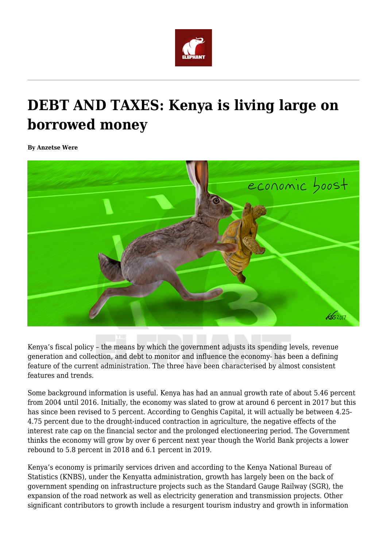

# **DEBT AND TAXES: Kenya is living large on borrowed money**

**By Anzetse Were**



Kenya's fiscal policy – the means by which the government adjusts its spending levels, revenue generation and collection, and debt to monitor and influence the economy- has been a defining feature of the current administration. The three have been characterised by almost consistent features and trends.

Some background information is useful. Kenya has had an annual growth rate of about 5.46 percent from 2004 until 2016. Initially, the economy was slated to grow at around 6 percent in 2017 but this has since been revised to 5 percent. According to Genghis Capital, it will actually be between 4.25- 4.75 percent due to the drought-induced contraction in agriculture, the negative effects of the interest rate cap on the financial sector and the prolonged electioneering period. The Government thinks the economy will grow by over 6 percent next year though the World Bank projects a lower rebound to 5.8 percent in 2018 and 6.1 percent in 2019.

Kenya's economy is primarily services driven and according to the Kenya National Bureau of Statistics (KNBS), under the Kenyatta administration, growth has largely been on the back of government spending on infrastructure projects such as the Standard Gauge Railway (SGR), the expansion of the road network as well as electricity generation and transmission projects. Other significant contributors to growth include a resurgent tourism industry and growth in information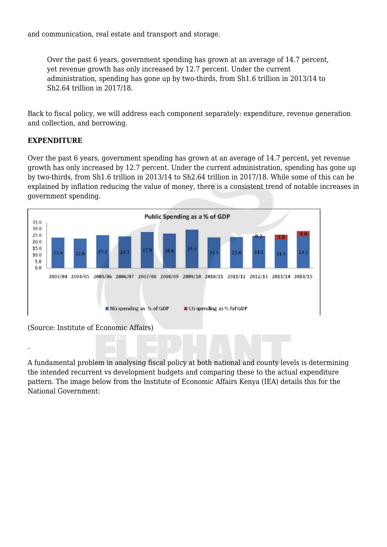and communication, real estate and transport and storage.

Over the past 6 years, government spending has grown at an average of 14.7 percent, yet revenue growth has only increased by 12.7 percent. Under the current administration, spending has gone up by two-thirds, from Sh1.6 trillion in 2013/14 to Sh2.64 trillion in 2017/18.

Back to fiscal policy, we will address each component separately: expenditure, revenue generation and collection, and borrowing.

#### **EXPENDITURE**

Over the past 6 years, government spending has grown at an average of 14.7 percent, yet revenue growth has only increased by 12.7 percent. Under the current administration, spending has gone up by two-thirds, from Sh1.6 trillion in 2013/14 to Sh2.64 trillion in 2017/18. While some of this can be explained by inflation reducing the value of money, there is a consistent trend of notable increases in government spending.



(Source: Institute of Economic Affairs)

A fundamental problem in analysing fiscal policy at both national and county levels is determining the intended recurrent vs development budgets and comparing these to the actual expenditure pattern. The image below from the Institute of Economic Affairs Kenya (IEA) details this for the National Government: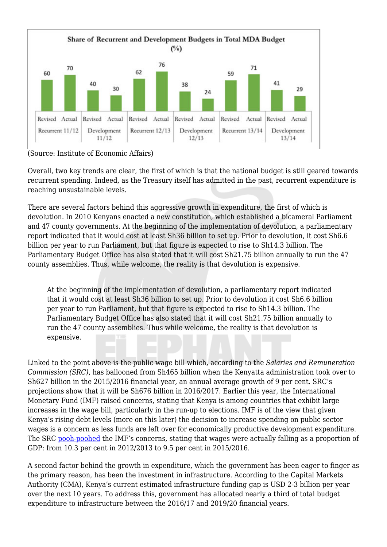

(Source: Institute of Economic Affairs)

Overall, two key trends are clear, the first of which is that the national budget is still geared towards recurrent spending. Indeed, as the Treasury itself has admitted in the past, recurrent expenditure is reaching unsustainable levels.

There are several factors behind this aggressive growth in expenditure, the first of which is devolution. In 2010 Kenyans enacted a new constitution, which established a bicameral Parliament and 47 county governments. At the beginning of the implementation of devolution, a parliamentary report indicated that it would cost at least Sh36 billion to set up. Prior to devolution, it cost Sh6.6 billion per year to run Parliament, but that figure is expected to rise to Sh14.3 billion. The Parliamentary Budget Office has also stated that it will cost Sh21.75 billion annually to run the 47 county assemblies. Thus, while welcome, the reality is that devolution is expensive.

At the beginning of the implementation of devolution, a parliamentary report indicated that it would cost at least Sh36 billion to set up. Prior to devolution it cost Sh6.6 billion per year to run Parliament, but that figure is expected to rise to Sh14.3 billion. The Parliamentary Budget Office has also stated that it will cost Sh21.75 billion annually to run the 47 county assemblies. Thus while welcome, the reality is that devolution is expensive.

Linked to the point above is the public wage bill which, according to the *Salaries and Remuneration Commission (SRC)*, has ballooned from Sh465 billion when the Kenyatta administration took over to Sh627 billion in the 2015/2016 financial year, an annual average growth of 9 per cent. SRC's projections show that it will be Sh676 billion in 2016/2017. Earlier this year, the International Monetary Fund (IMF) raised concerns, stating that Kenya is among countries that exhibit large increases in the wage bill, particularly in the run-up to elections. IMF is of the view that given Kenya's rising debt levels (more on this later) the decision to increase spending on public sector wages is a concern as less funds are left over for economically productive development expenditure. The SRC [pooh-poohed](http://www.src.go.ke/index.php/our-blogs/244-no-matter-what-the-imf-says-kenya-s-wage-bill-is-not-out-of-control) the IMF's concerns, stating that wages were actually falling as a proportion of GDP: from 10.3 per cent in 2012/2013 to 9.5 per cent in 2015/2016.

A second factor behind the growth in expenditure, which the government has been eager to finger as the primary reason, has been the investment in infrastructure. According to the Capital Markets Authority (CMA), Kenya's current estimated infrastructure funding gap is USD 2-3 billion per year over the next 10 years. To address this, government has allocated nearly a third of total budget expenditure to infrastructure between the 2016/17 and 2019/20 financial years.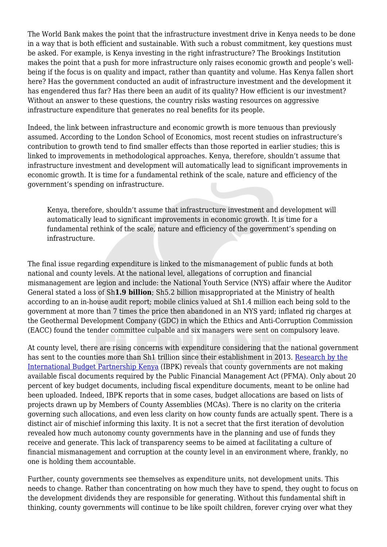The World Bank makes the point that the infrastructure investment drive in Kenya needs to be done in a way that is both efficient and sustainable. With such a robust commitment, key questions must be asked. For example, is Kenya investing in the right infrastructure? The Brookings Institution makes the point that a push for more infrastructure only raises economic growth and people's wellbeing if the focus is on quality and impact, rather than quantity and volume. Has Kenya fallen short here? Has the government conducted an audit of infrastructure investment and the development it has engendered thus far? Has there been an audit of its quality? How efficient is our investment? Without an answer to these questions, the country risks wasting resources on aggressive infrastructure expenditure that generates no real benefits for its people.

Indeed, the link between infrastructure and economic growth is more tenuous than previously assumed. According to the London School of Economics, most recent studies on infrastructure's contribution to growth tend to find smaller effects than those reported in earlier studies; this is linked to improvements in methodological approaches. Kenya, therefore, shouldn't assume that infrastructure investment and development will automatically lead to significant improvements in economic growth. It is time for a fundamental rethink of the scale, nature and efficiency of the government's spending on infrastructure.

Kenya, therefore, shouldn't assume that infrastructure investment and development will automatically lead to significant improvements in economic growth. It is time for a fundamental rethink of the scale, nature and efficiency of the government's spending on infrastructure.

The final issue regarding expenditure is linked to the mismanagement of public funds at both national and county levels. At the national level, allegations of corruption and financial mismanagement are legion and include: the National Youth Service (NYS) affair where the Auditor General stated a loss of Sh**1.9 billion**; Sh5.2 billion misappropriated at the Ministry of health according to an in-house audit report; mobile clinics valued at Sh1.4 million each being sold to the government at more than 7 times the price then abandoned in an NYS yard; inflated rig charges at the Geothermal Development Company (GDC) in which the Ethics and Anti-Corruption Commission (EACC) found the tender committee culpable and six managers were sent on compulsory leave.

At county level, there are rising concerns with expenditure considering that the national government has sent to the counties more than Sh1 trillion since their establishment in 2013. [Research by the](https://www.google.com/url?sa=t&rct=j&q=&esrc=s&source=web&cd=3&cad=rja&uact=8&ved=0ahUKEwjSqam6gvjXAhUBMhQKHWWmC-sQFggvMAI&url=https%3A%2F%2Fwww.internationalbudget.org%2Fwp-content%2Fuploads%2Fkenya-county-budget-transparency-review-september-2017.pdf&usg=AOvVaw24riFOqELe2Ku5LJ9Eb2dU) [International Budget Partnership Kenya](https://www.google.com/url?sa=t&rct=j&q=&esrc=s&source=web&cd=3&cad=rja&uact=8&ved=0ahUKEwjSqam6gvjXAhUBMhQKHWWmC-sQFggvMAI&url=https%3A%2F%2Fwww.internationalbudget.org%2Fwp-content%2Fuploads%2Fkenya-county-budget-transparency-review-september-2017.pdf&usg=AOvVaw24riFOqELe2Ku5LJ9Eb2dU) (IBPK) reveals that county governments are not making available fiscal documents required by the Public Financial Management Act (PFMA). Only about 20 percent of key budget documents, including fiscal expenditure documents, meant to be online had been uploaded. Indeed, IBPK reports that in some cases, budget allocations are based on lists of projects drawn up by Members of County Assemblies (MCAs). There is no clarity on the criteria governing such allocations, and even less clarity on how county funds are actually spent. There is a distinct air of mischief informing this laxity. It is not a secret that the first iteration of devolution revealed how much autonomy county governments have in the planning and use of funds they receive and generate. This lack of transparency seems to be aimed at facilitating a culture of financial mismanagement and corruption at the county level in an environment where, frankly, no one is holding them accountable.

Further, county governments see themselves as expenditure units, not development units. This needs to change. Rather than concentrating on how much they have to spend, they ought to focus on the development dividends they are responsible for generating. Without this fundamental shift in thinking, county governments will continue to be like spoilt children, forever crying over what they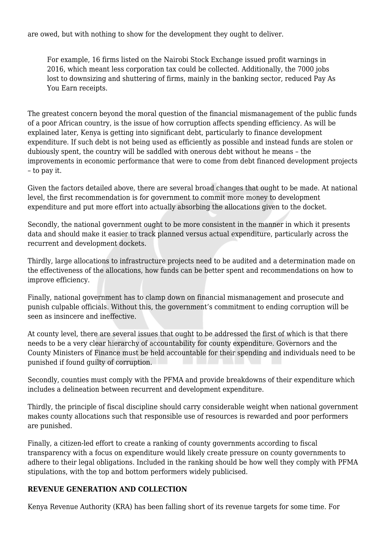are owed, but with nothing to show for the development they ought to deliver.

For example, 16 firms listed on the Nairobi Stock Exchange issued profit warnings in 2016, which meant less corporation tax could be collected. Additionally, the 7000 jobs lost to downsizing and shuttering of firms, mainly in the banking sector, reduced Pay As You Earn receipts.

The greatest concern beyond the moral question of the financial mismanagement of the public funds of a poor African country, is the issue of how corruption affects spending efficiency. As will be explained later, Kenya is getting into significant debt, particularly to finance development expenditure. If such debt is not being used as efficiently as possible and instead funds are stolen or dubiously spent, the country will be saddled with onerous debt without he means – the improvements in economic performance that were to come from debt financed development projects – to pay it.

Given the factors detailed above, there are several broad changes that ought to be made. At national level, the first recommendation is for government to commit more money to development expenditure and put more effort into actually absorbing the allocations given to the docket.

Secondly, the national government ought to be more consistent in the manner in which it presents data and should make it easier to track planned versus actual expenditure, particularly across the recurrent and development dockets.

Thirdly, large allocations to infrastructure projects need to be audited and a determination made on the effectiveness of the allocations, how funds can be better spent and recommendations on how to improve efficiency.

Finally, national government has to clamp down on financial mismanagement and prosecute and punish culpable officials. Without this, the government's commitment to ending corruption will be seen as insincere and ineffective.

At county level, there are several issues that ought to be addressed the first of which is that there needs to be a very clear hierarchy of accountability for county expenditure. Governors and the County Ministers of Finance must be held accountable for their spending and individuals need to be punished if found guilty of corruption.

Secondly, counties must comply with the PFMA and provide breakdowns of their expenditure which includes a delineation between recurrent and development expenditure.

Thirdly, the principle of fiscal discipline should carry considerable weight when national government makes county allocations such that responsible use of resources is rewarded and poor performers are punished.

Finally, a citizen-led effort to create a ranking of county governments according to fiscal transparency with a focus on expenditure would likely create pressure on county governments to adhere to their legal obligations. Included in the ranking should be how well they comply with PFMA stipulations, with the top and bottom performers widely publicised.

## **REVENUE GENERATION AND COLLECTION**

Kenya Revenue Authority (KRA) has been falling short of its revenue targets for some time. For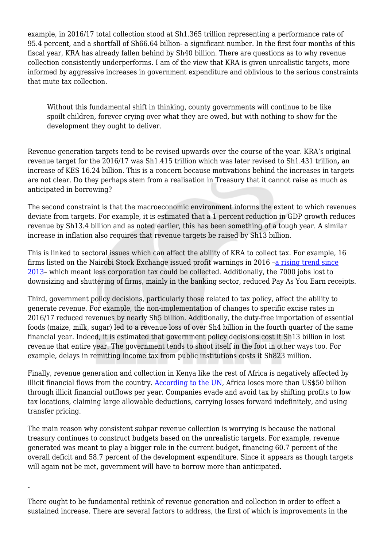example, in 2016/17 total collection stood at Sh1.365 trillion representing a performance rate of 95.4 percent, and a shortfall of Sh66.64 billion- a significant number. In the first four months of this fiscal year, KRA has already fallen behind by Sh40 billion. There are questions as to why revenue collection consistently underperforms. I am of the view that KRA is given unrealistic targets, more informed by aggressive increases in government expenditure and oblivious to the serious constraints that mute tax collection.

Without this fundamental shift in thinking, county governments will continue to be like spoilt children, forever crying over what they are owed, but with nothing to show for the development they ought to deliver.

Revenue generation targets tend to be revised upwards over the course of the year. KRA's original revenue target for the 2016/17 was Sh1.415 trillion which was later revised to Sh1.431 trillion**,** an increase of KES 16.24 billion. This is a concern because motivations behind the increases in targets are not clear. Do they perhaps stem from a realisation in Treasury that it cannot raise as much as anticipated in borrowing?

The second constraint is that the macroeconomic environment informs the extent to which revenues deviate from targets. For example, it is estimated that a 1 percent reduction in GDP growth reduces revenue by Sh13.4 billion and as noted earlier, this has been something of a tough year. A similar increase in inflation also requires that revenue targets be raised by Sh13 billion.

This is linked to sectoral issues which can affect the ability of KRA to collect tax. For example, 16 firms listed on the Nairobi Stock Exchange issued profit warnings in 2016 –[a rising trend since](https://www.standardmedia.co.ke/business/article/2000189803/worst-year-as-18-nairobi-securities-exchange-listed-companies-issue-profit-warnings) [2013–](https://www.standardmedia.co.ke/business/article/2000189803/worst-year-as-18-nairobi-securities-exchange-listed-companies-issue-profit-warnings) which meant less corporation tax could be collected. Additionally, the 7000 jobs lost to downsizing and shuttering of firms, mainly in the banking sector, reduced Pay As You Earn receipts.

Third, government policy decisions, particularly those related to tax policy, affect the ability to generate revenue. For example, the non-implementation of changes to specific excise rates in 2016/17 reduced revenues by nearly Sh5 billion. Additionally, the duty-free importation of essential foods (maize, milk, sugar) led to a revenue loss of over Sh4 billion in the fourth quarter of the same financial year. Indeed, it is estimated that government policy decisions cost it Sh13 billion in lost revenue that entire year. The government tends to shoot itself in the foot in other ways too. For example, delays in remitting income tax from public institutions costs it Sh823 million.

Finally, revenue generation and collection in Kenya like the rest of Africa is negatively affected by illicit financial flows from the country. [According to the UN,](https://www.uneca.org/publications/illicit-financial-flows) Africa loses more than US\$50 billion through illicit financial outflows per year. Companies evade and avoid tax by shifting profits to low tax locations, claiming large allowable deductions, carrying losses forward indefinitely, and using transfer pricing.

The main reason why consistent subpar revenue collection is worrying is because the national treasury continues to construct budgets based on the unrealistic targets. For example, revenue generated was meant to play a bigger role in the current budget, financing 60.7 percent of the overall deficit and 58.7 percent of the development expenditure. Since it appears as though targets will again not be met, government will have to borrow more than anticipated.

There ought to be fundamental rethink of revenue generation and collection in order to effect a sustained increase. There are several factors to address, the first of which is improvements in the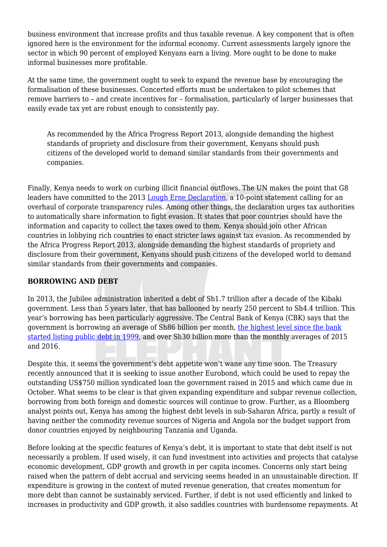business environment that increase profits and thus taxable revenue. A key component that is often ignored here is the environment for the informal economy. Current assessments largely ignore the sector in which 90 percent of employed Kenyans earn a living. More ought to be done to make informal businesses more profitable.

At the same time, the government ought to seek to expand the revenue base by encouraging the formalisation of these businesses. Concerted efforts must be undertaken to pilot schemes that remove barriers to – and create incentives for – formalisation, particularly of larger businesses that easily evade tax yet are robust enough to consistently pay.

As recommended by the Africa Progress Report 2013, alongside demanding the highest standards of propriety and disclosure from their government, Kenyans should push citizens of the developed world to demand similar standards from their governments and companies.

Finally, Kenya needs to work on curbing illicit financial outflows. The UN makes the point that G8 leaders have committed to the 2013 [Lough Erne Declaration,](https://www.gov.uk/government/publications/g8-lough-erne-declaration/g8-lough-erne-declaration-html-version) a 10-point statement calling for an overhaul of corporate transparency rules. Among other things, the declaration urges tax authorities to automatically share information to fight evasion. It states that poor countries should have the information and capacity to collect the taxes owed to them. Kenya should join other African countries in lobbying rich countries to enact stricter laws against tax evasion. As recommended by the Africa Progress Report 2013, alongside demanding the highest standards of propriety and disclosure from their government, Kenyans should push citizens of the developed world to demand similar standards from their governments and companies.

## **BORROWING AND DEBT**

In 2013, the Jubilee administration inherited a debt of Sh1.7 trillion after a decade of the Kibaki government. Less than 5 years later, that has ballooned by nearly 250 percent to Sh4.4 trillion. This year's borrowing has been particularly aggressive. The Central Bank of Kenya (CBK) says that the government is borrowing an average of Sh86 billion per month, [the highest level since the bank](https://www.the-star.co.ke/news/2017/09/18/each-kenyan-to-pay-sh97000-in-debt_c1637115) [started listing public debt in 1999](https://www.the-star.co.ke/news/2017/09/18/each-kenyan-to-pay-sh97000-in-debt_c1637115), and over Sh30 billion more than the monthly averages of 2015 and 2016.

Despite this, it seems the government's debt appetite won't wane any time soon. The Treasury recently announced that it is seeking to issue another Eurobond, which could be used to repay the outstanding US\$750 million syndicated loan the government raised in 2015 and which came due in October. What seems to be clear is that given expanding expenditure and subpar revenue collection, borrowing from both foreign and domestic sources will continue to grow. Further, as a Bloomberg analyst points out, Kenya has among the highest debt levels in sub-Saharan Africa, partly a result of having neither the commodity revenue sources of Nigeria and Angola nor the budget support from donor countries enjoyed by neighbouring Tanzania and Uganda.

Before looking at the specific features of Kenya's debt, it is important to state that debt itself is not necessarily a problem. If used wisely, it can fund investment into activities and projects that catalyse economic development, GDP growth and growth in per capita incomes. Concerns only start being raised when the pattern of debt accrual and servicing seems headed in an unsustainable direction. If expenditure is growing in the context of muted revenue generation, that creates momentum for more debt than cannot be sustainably serviced. Further, if debt is not used efficiently and linked to increases in productivity and GDP growth, it also saddles countries with burdensome repayments. At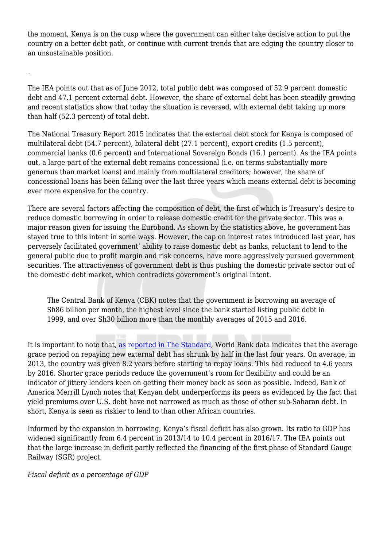the moment, Kenya is on the cusp where the government can either take decisive action to put the country on a better debt path, or continue with current trends that are edging the country closer to an unsustainable position.

The IEA points out that as of June 2012, total public debt was composed of 52.9 percent domestic debt and 47.1 percent external debt. However, the share of external debt has been steadily growing and recent statistics show that today the situation is reversed, with external debt taking up more than half (52.3 percent) of total debt.

The National Treasury Report 2015 indicates that the external debt stock for Kenya is composed of multilateral debt (54.7 percent), bilateral debt (27.1 percent), export credits (1.5 percent), commercial banks (0.6 percent) and International Sovereign Bonds (16.1 percent). As the IEA points out, a large part of the external debt remains concessional (i.e. on terms substantially more generous than market loans) and mainly from multilateral creditors; however, the share of concessional loans has been falling over the last three years which means external debt is becoming ever more expensive for the country.

There are several factors affecting the composition of debt, the first of which is Treasury's desire to reduce domestic borrowing in order to release domestic credit for the private sector. This was a major reason given for issuing the Eurobond. As shown by the statistics above, he government has stayed true to this intent in some ways. However, the cap on interest rates introduced last year, has perversely facilitated government' ability to raise domestic debt as banks, reluctant to lend to the general public due to profit margin and risk concerns, have more aggressively pursued government securities. The attractiveness of government debt is thus pushing the domestic private sector out of the domestic debt market, which contradicts government's original intent.

The Central Bank of Kenya (CBK) notes that the government is borrowing an average of Sh86 billion per month, the highest level since the bank started listing public debt in 1999, and over Sh30 billion more than the monthly averages of 2015 and 2016.

It is important to note that, [as reported in The Standard,](https://www.standardmedia.co.ke/business/article/2001258402/worry-as-kenya-racks-up-sh12b-interest-on-loans) World Bank data indicates that the average grace period on repaying new external debt has shrunk by half in the last four years. On average, in 2013, the country was given 8.2 years before starting to repay loans. This had reduced to 4.6 years by 2016. Shorter grace periods reduce the government's room for flexibility and could be an indicator of jittery lenders keen on getting their money back as soon as possible. Indeed, Bank of America Merrill Lynch notes that Kenyan debt underperforms its peers as evidenced by the fact that yield premiums over U.S. debt have not narrowed as much as those of other sub-Saharan debt. In short, Kenya is seen as riskier to lend to than other African countries.

Informed by the expansion in borrowing, Kenya's fiscal deficit has also grown. Its ratio to GDP has widened significantly from 6.4 percent in 2013/14 to 10.4 percent in 2016/17. The IEA points out that the large increase in deficit partly reflected the financing of the first phase of Standard Gauge Railway (SGR) project.

*Fiscal deficit as a percentage of GDP*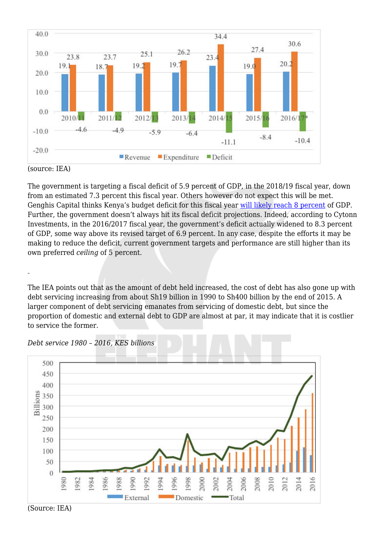

#### The government is targeting a fiscal deficit of 5.9 percent of GDP, in the 2018/19 fiscal year, down from an estimated 7.3 percent this fiscal year. Others however do not expect this will be met. Genghis Capital thinks Kenya's budget deficit for this fiscal year [will likely reach 8 percent](https://sokodirectory.com/2017/09/kenyas-2017-18-budget-worsening-fiscal-deficit-analysts/) of GDP. Further, the government doesn't always hit its fiscal deficit projections. Indeed, according to Cytonn Investments, in the 2016/2017 fiscal year, the government's deficit actually widened to 8.3 percent of GDP, some way above its revised target of 6.9 percent. In any case, despite the efforts it may be making to reduce the deficit, current government targets and performance are still higher than its own preferred *ceiling* of 5 percent.

The IEA points out that as the amount of debt held increased, the cost of debt has also gone up with debt servicing increasing from about Sh19 billion in 1990 to Sh400 billion by the end of 2015. A larger component of debt servicing emanates from servicing of domestic debt, but since the proportion of domestic and external debt to GDP are almost at par, it may indicate that it is costlier to service the former.





(Source: IEA)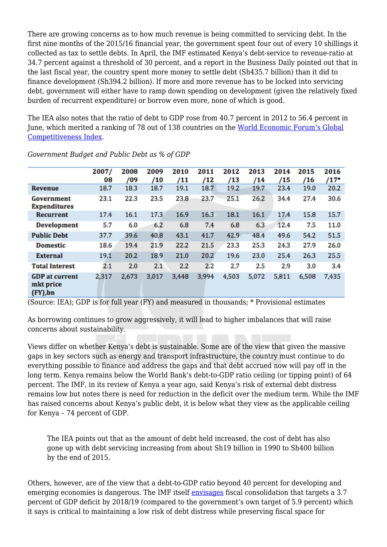There are growing concerns as to how much revenue is being committed to servicing debt. In the first nine months of the 2015/16 financial year, the government spent four out of every 10 shillings it collected as tax to settle debts. In April, the IMF estimated Kenya's debt-service to revenue-ratio at 34.7 percent against a threshold of 30 percent, and a report in the Business Daily pointed out that in the last fiscal year, the country spent more money to settle debt (Sh435.7 billion) than it did to finance development (Sh394.2 billion). If more and more revenue has to be locked into servicing debt, government will either have to ramp down spending on development (given the relatively fixed burden of recurrent expenditure) or borrow even more, none of which is good.

The IEA also notes that the ratio of debt to GDP rose from 40.7 percent in 2012 to 56.4 percent in June, which merited a ranking of 78 out of 138 countries on the [World Economic Forum's Global](http://reports.weforum.org/global-competitiveness-index-2017-2018/competitiveness-rankings/#series=GOVDEBTGDP) [Competitiveness Index.](http://reports.weforum.org/global-competitiveness-index-2017-2018/competitiveness-rankings/#series=GOVDEBTGDP)

|                                                   | 2007/<br>08 | 2008<br>/09 | 2009<br>/10 | 2010<br>/11 | 2011<br>/12 | 2012<br>/13 | 2013<br>/14 | 2014<br>/15 | 2015<br>/16 | 2016<br>$/17*$ |
|---------------------------------------------------|-------------|-------------|-------------|-------------|-------------|-------------|-------------|-------------|-------------|----------------|
| <b>Revenue</b>                                    | 18.7        | 18.3        | 18.7        | 19.1        | 18.7        | 19.2        | 19.7        | 23.4        | 19.0        | 20.2           |
| Government<br><b>Expenditures</b>                 | 23.1        | 22.3        | 23.5        | 23.8        | 23.7        | 25.1        | 26.2        | 34.4        | 27.4        | 30.6           |
| <b>Recurrent</b>                                  | 17.4        | 16.1        | 17.3        | 16.9        | 16.3        | 18.1        | 16.1        | 17.4        | 15.8        | 15.7           |
| <b>Development</b>                                | 5.7         | 6.0         | 6.2         | 6.8         | 7.4         | 6.8         | 6.3         | 12.4        | 7.5         | 11.0           |
| <b>Public Debt</b>                                | 37.7        | 39.6        | 40.8        | 43.1        | 41.7        | 42.9        | 48.4        | 49.6        | 54.2        | 51.5           |
| <b>Domestic</b>                                   | 18.6        | 19.4        | 21.9        | 22.2        | 21.5        | 23.3        | 25.3        | 24.3        | 27.9        | 26.0           |
| <b>External</b>                                   | 19.1        | 20.2        | 18.9        | 21.0        | 20.2        | 19.6        | 23.0        | 25.4        | 26.3        | 25.5           |
| <b>Total Interest</b>                             | 2.1         | 2.0         | 2.1         | 2.2         | 2.2         | 2.7         | 2.5         | 2.9         | 3.0         | 3.4            |
| <b>GDP</b> at current<br>mkt price<br>$(FY)$ , bn | 2,317       | 2,673       | 3,017       | 3,448       | 3,994       | 4,503       | 5,072       | 5,811       | 6,508       | 7,435          |

*Government Budget and Public Debt as % of GDP*

(Source: IEA); GDP is for full year (FY) and measured in thousands; \* Provisional estimates

As borrowing continues to grow aggressively, it will lead to higher imbalances that will raise concerns about sustainability.

Views differ on whether Kenya's debt is sustainable. Some are of the view that given the massive gaps in key sectors such as energy and transport infrastructure, the country must continue to do everything possible to finance and address the gaps and that debt accrued now will pay off in the long term. Kenya remains below the World Bank's debt-to-GDP ratio ceiling (or tipping point) of 64 percent. The IMF, in its review of Kenya a year ago, said Kenya's risk of external debt distress remains low but notes there is need for reduction in the deficit over the medium term. While the IMF has raised concerns about Kenya's public debt, it is below what they view as the applicable ceiling for Kenya – 74 percent of GDP.

The IEA points out that as the amount of debt held increased, the cost of debt has also gone up with debt servicing increasing from about Sh19 billion in 1990 to Sh400 billion by the end of 2015.

Others, however, are of the view that a debt-to-GDP ratio beyond 40 percent for developing and emerging economies is dangerous. The IMF itself [envisages](https://www.imf.org/~/media/Files/Publications/CR/2017/cr1725.ashx) fiscal consolidation that targets a 3.7 percent of GDP deficit by 2018/19 (compared to the government's own target of 5.9 percent) which it says is critical to maintaining a low risk of debt distress while preserving fiscal space for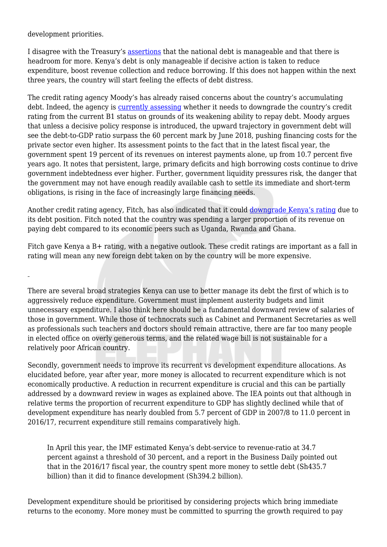development priorities.

I disagree with the Treasury's [assertions](https://www.standardmedia.co.ke/health/article/2000142034/we-have-many-projects-to-fund-henry-rotich-tells-house-team-on-limit) that the national debt is manageable and that there is headroom for more. Kenya's debt is only manageable if decisive action is taken to reduce expenditure, boost revenue collection and reduce borrowing. If this does not happen within the next three years, the country will start feeling the effects of debt distress.

The credit rating agency Moody's has already raised concerns about the country's accumulating debt. Indeed, the agency is [currently assessing](https://m.moodys.com/Research.html?docid=PR_373279) whether it needs to downgrade the country's credit rating from the current B1 status on grounds of its weakening ability to repay debt. Moody argues that unless a decisive policy response is introduced, the upward trajectory in government debt will see the debt-to-GDP ratio surpass the 60 percent mark by June 2018, pushing financing costs for the private sector even higher. Its assessment points to the fact that in the latest fiscal year, the government spent 19 percent of its revenues on interest payments alone, up from 10.7 percent five years ago. It notes that persistent, large, primary deficits and high borrowing costs continue to drive government indebtedness ever higher. Further, government liquidity pressures risk, the danger that the government may not have enough readily available cash to settle its immediate and short-term obligations, is rising in the face of increasingly large financing needs.

Another credit rating agency, Fitch, has also indicated that it could [downgrade Kenya's rating](https://www.standardmedia.co.ke/business/article/2001253213/kenya-risks-credit-rating-downgrade) due to its debt position. Fitch noted that the country was spending a larger proportion of its revenue on paying debt compared to its economic peers such as Uganda, Rwanda and Ghana.

Fitch gave Kenya a B+ rating, with a negative outlook. These credit ratings are important as a fall in rating will mean any new foreign debt taken on by the country will be more expensive.

There are several broad strategies Kenya can use to better manage its debt the first of which is to aggressively reduce expenditure. Government must implement austerity budgets and limit unnecessary expenditure. I also think here should be a fundamental downward review of salaries of those in government. While those of technocrats such as Cabinet and Permanent Secretaries as well as professionals such teachers and doctors should remain attractive, there are far too many people in elected office on overly generous terms, and the related wage bill is not sustainable for a relatively poor African country.

Secondly, government needs to improve its recurrent vs development expenditure allocations. As elucidated before, year after year, more money is allocated to recurrent expenditure which is not economically productive. A reduction in recurrent expenditure is crucial and this can be partially addressed by a downward review in wages as explained above. The IEA points out that although in relative terms the proportion of recurrent expenditure to GDP has slightly declined while that of development expenditure has nearly doubled from 5.7 percent of GDP in 2007/8 to 11.0 percent in 2016/17, recurrent expenditure still remains comparatively high.

In April this year, the IMF estimated Kenya's debt-service to revenue-ratio at 34.7 percent against a threshold of 30 percent, and a report in the Business Daily pointed out that in the 2016/17 fiscal year, the country spent more money to settle debt (Sh435.7 billion) than it did to finance development (Sh394.2 billion).

Development expenditure should be prioritised by considering projects which bring immediate returns to the economy. More money must be committed to spurring the growth required to pay